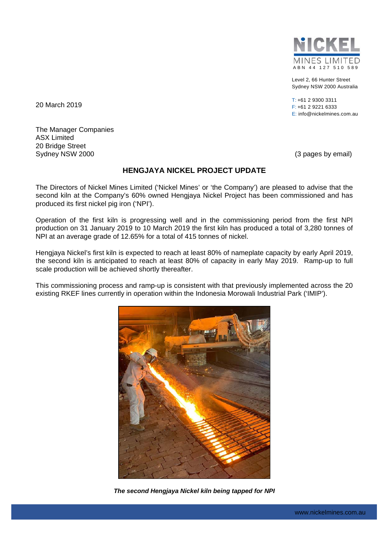

Level 2, 66 Hunter Street Sydney NSW 2000 Australia

T: +61 2 9300 3311 F: +61 2 9221 6333 E: info@nickelmines.com.au

20 March 2019

The Manager Companies ASX Limited 20 Bridge Street Sydney NSW 2000 **(3 pages by email)** Sydney NSW 2000

## **HENGJAYA NICKEL PROJECT UPDATE**

The Directors of Nickel Mines Limited ('Nickel Mines' or 'the Company') are pleased to advise that the second kiln at the Company's 60% owned Hengjaya Nickel Project has been commissioned and has produced its first nickel pig iron ('NPI').

Operation of the first kiln is progressing well and in the commissioning period from the first NPI production on 31 January 2019 to 10 March 2019 the first kiln has produced a total of 3,280 tonnes of NPI at an average grade of 12.65% for a total of 415 tonnes of nickel.

Hengjaya Nickel's first kiln is expected to reach at least 80% of nameplate capacity by early April 2019, the second kiln is anticipated to reach at least 80% of capacity in early May 2019. Ramp-up to full scale production will be achieved shortly thereafter.

This commissioning process and ramp-up is consistent with that previously implemented across the 20 existing RKEF lines currently in operation within the Indonesia Morowali Industrial Park ('IMIP').



*The second Hengjaya Nickel kiln being tapped for NPI*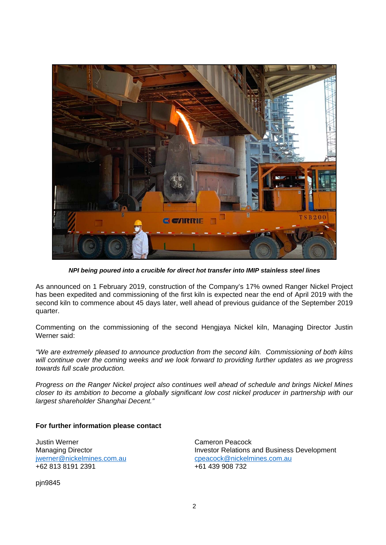

*NPI being poured into a crucible for direct hot transfer into IMIP stainless steel lines* 

As announced on 1 February 2019, construction of the Company's 17% owned Ranger Nickel Project has been expedited and commissioning of the first kiln is expected near the end of April 2019 with the second kiln to commence about 45 days later, well ahead of previous guidance of the September 2019 quarter.

Commenting on the commissioning of the second Hengjaya Nickel kiln, Managing Director Justin Werner said:

*"We are extremely pleased to announce production from the second kiln. Commissioning of both kilns will continue over the coming weeks and we look forward to providing further updates as we progress towards full scale production.* 

*Progress on the Ranger Nickel project also continues well ahead of schedule and brings Nickel Mines closer to its ambition to become a globally significant low cost nickel producer in partnership with our largest shareholder Shanghai Decent."* 

## **For further information please contact**

Justin Werner Cameron Peacock +62 813 8191 2391

Managing Director Investor Relations and Business Development jwerner@nickelmines.com.aucpeacock@nickelmines.com.au

pjn9845